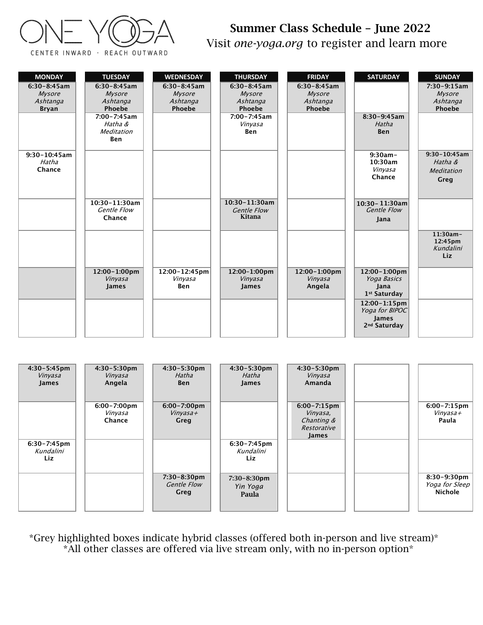

## Summer Class Schedule – June 2022 Visit *one-yoga.org* to register and learn more

| <b>MONDAY</b><br>$6:30 - 8:45$ am<br>Mysore<br>Ashtanga<br><b>Bryan</b><br>$9:30 - 10:45$ am<br>Hatha<br>Chance | <b>TUESDAY</b><br>$6:30-8:45am$<br><b>Mysore</b><br>Ashtanga<br>Phoebe<br>7:00-7:45am<br>Hatha &<br>Meditation<br><b>Ben</b> | <b>WEDNESDAY</b><br>$6:30-8:45am$<br>Mysore<br>Ashtanga<br>Phoebe             | <b>THURSDAY</b><br>$6:30-8:45am$<br>Mysore<br>Ashtanga<br>Phoebe<br>$7:00 - 7:45$ am<br>Vinyasa<br>Ben | <b>FRIDAY</b><br>$6:30-8:45am$<br>Mysore<br>Ashtanga<br>Phoebe                      | <b>SATURDAY</b><br>$8:30-9:45am$<br>Hatha<br><b>Ben</b><br>$9:30am -$<br>10:30am<br>Vinyasa<br>Chance                                         | <b>SUNDAY</b><br>$7:30-9:15am$<br>Mysore<br>Ashtanga<br>Phoebe<br>$9:30 - 10:45$ am<br>Hatha &<br>Meditation<br>Greg |
|-----------------------------------------------------------------------------------------------------------------|------------------------------------------------------------------------------------------------------------------------------|-------------------------------------------------------------------------------|--------------------------------------------------------------------------------------------------------|-------------------------------------------------------------------------------------|-----------------------------------------------------------------------------------------------------------------------------------------------|----------------------------------------------------------------------------------------------------------------------|
|                                                                                                                 | 10:30-11:30am<br><b>Gentle Flow</b><br>Chance                                                                                |                                                                               | 10:30-11:30am<br><b>Gentle Flow</b><br>Kitana                                                          |                                                                                     | 10:30-11:30am<br><b>Gentle Flow</b><br>Jana                                                                                                   | 11:30am-<br>12:45pm<br>Kundalini<br>Liz                                                                              |
|                                                                                                                 | 12:00-1:00pm<br>Vinyasa<br>James                                                                                             | 12:00-12:45pm<br>Vinyasa<br>Ben                                               | 12:00-1:00pm<br>Vinyasa<br><b>James</b>                                                                | 12:00-1:00pm<br>Vinyasa<br>Angela                                                   | 12:00-1:00pm<br>Yoga Basics<br>Jana<br>1 <sup>st</sup> Saturday<br>12:00-1:15pm<br>Yoga for BIPOC<br><b>James</b><br>2 <sup>nd</sup> Saturday |                                                                                                                      |
| 4:30-5:45pm<br>Vinyasa<br><b>James</b>                                                                          | $4:30 - 5:30$ pm<br>Vinyasa<br>Angela<br>$6:00 - 7:00$ pm<br>Vinyasa<br>Chance                                               | 4:30-5:30pm<br>Hatha<br><b>Ben</b><br>$6:00 - 7:00$ pm<br>$Viny$ asa+<br>Greg | $4:30-5:30$ pm<br>Hatha<br><b>James</b>                                                                | $4:30 - 5:30$ pm<br>Vinyasa<br>Amanda<br>$6:00 - 7:15$ pm<br>Vinyasa,<br>Chanting & |                                                                                                                                               | $6:00 - 7:15$ pm<br>$Viny$ asa +<br>Paula                                                                            |
| 6:30-7:45pm<br>Kundalini<br>Liz                                                                                 |                                                                                                                              | 7:30-8:30pm<br><b>Gentle Flow</b><br>Greg                                     | $6:30 - 7:45$ pm<br>Kundalini<br>Liz<br>7:30-8:30pm<br>Yin Yoga<br>Paula                               | Restorative<br>James                                                                |                                                                                                                                               | 8:30-9:30pm<br>Yoga for Sleep<br>Nichole                                                                             |

\*Grey highlighted boxes indicate hybrid classes (offered both in-person and live stream)\* \*All other classes are offered via live stream only, with no in-person option\*